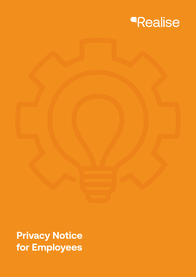

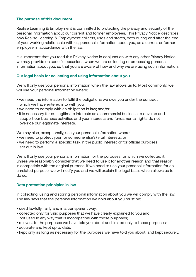# **The purpose of this document**

Realise Learning & Employment is committed to protecting the privacy and security of the personal information about our current and former employees. This Privacy Notice describes how Realise Learning & Employment collects, uses and stores, both during and after the end of your working relationship with us, personal information about you, as a current or former employee, in accordance with the law.

It is important that you read this Privacy Notice in conjunction with any other Privacy Notice we may provide on specific occasions when we are collecting or processing personal information about you, so that you are aware of how and why we are using such information.

# **Our legal basis for collecting and using information about you**

We will only use your personal information when the law allows us to. Most commonly, we will use your personal information where:

- we need the information to fulfil the obligations we owe you under the contract which we have entered into with you;
- we need to comply with an obligation in law; and/or
- it is necessary for our legitimate interests as a commercial business to develop and support our business activities and your interests and fundamental rights do not override our legitimate interests.

We may also, exceptionally, use your personal information where:

- we need to protect your (or someone else's) vital interests; or
- we need to perform a specific task in the public interest or for official purposes set out in law.

We will only use your personal information for the purposes for which we collected it, unless we reasonably consider that we need to use it for another reason and that reason is compatible with the original purpose. If we need to use your personal information for an unrelated purpose, we will notify you and we will explain the legal basis which allows us to do so.

# **Data protection principles in law**

In collecting, using and storing personal information about you we will comply with the law. The law says that the personal information we hold about you must be:

- used lawfully, fairly and in a transparent way;
- collected only for valid purposes that we have clearly explained to you and not used in any way that is incompatible with those purposes;
- relevant to the purposes we have told you about and limited only to those purposes;
- accurate and kept up to date;
- kept only as long as necessary for the purposes we have told you about; and kept securely.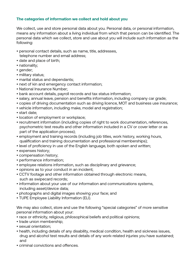# **The categories of information we collect and hold about you**

We collect, use and store personal data about you. Personal data, or personal information, means any information about a living individual from which that person can be identified. The personal data which we collect, store and use about you will include such information as the following:

- personal contact details, such as name, title, addresses, telephone number and email address;
- date and place of birth;
- nationality;
- gender;
- military status;
- marital status and dependants;
- next of kin and emergency contact information;
- National Insurance Number;
- bank account details, payroll records and tax status information;
- salary, annual leave, pension and benefits information, including company car grade;
- copies of driving documentation such as driving licence, MOT and business use insurance;
- vehicle information, including make, model and registration;
- start date;
- location of employment or workplace;
- recruitment information (including copies of right to work documentation, references, psychometric test results and other information included in a CV or cover letter or as part of the application process);
- employment and training records (including job titles, work history, working hours, qualification and training documentation and professional memberships);
- level of proficiency in use of the English language, both spoken and written;
- expenses history;
- compensation history;
- performance information;
- employee relations information, such as disciplinary and grievance;
- opinions as to your conduct in an incident;
- CCTV footage and other information obtained through electronic means, such as swipecard records;
- information about your use of our information and communications systems, including asset/device data;
- photographs and digital images showing your face; and
- TUPE Employee Liability Information (ELI).

We may also collect, store and use the following "special categories" of more sensitive personal information about your:

- race or ethnicity, religious, philosophical beliefs and political opinions;
- trade union membership;
- sexual orientation;
- health, including details of any disability, medical condition, health and sickness issues, drug and alcohol test results and details of any work-related injuries you have sustained; and
- criminal convictions and offences.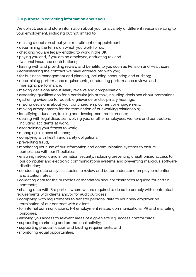# **Our purpose in collecting information about you**

We collect, use and store information about you for a variety of different reasons relating to your employment, including but not limited to:

- making a decision about your recruitment or appointment;
- determining the terms on which you work for us;
- checking you are legally entitled to work in the UK;
- paying you and, if you are an employee, deducting tax and National Insurance contributions;
- liaising with and providing reward and benefits to you such as Pension and Healthcare;
- administering the contract we have entered into with you;
- for business management and planning, including accounting and auditing;
- determining performance requirements, conducting performance reviews and managing performance;
- making decisions about salary reviews and compensation;
- assessing qualifications for a particular job or task, including decisions about promotions;
- gathering evidence for possible grievance or disciplinary hearings;
- making decisions about your continued employment or engagement;
- making arrangements for the termination of our working relationship;
- identifying education, training and development requirements;
- dealing with legal disputes involving you, or other employees, workers and contractors, including accidents at work;
- ascertaining your fitness to work;
- managing sickness absence;
- complying with health and safety obligations;
- preventing fraud;
- monitoring your use of our information and communication systems to ensure compliance with our IT policies;
- ensuring network and information security, including preventing unauthorised access to our computer and electronic communications systems and preventing malicious software distribution;
- conducting data analytics studies to review and better understand employee retention and attrition rates;
- collecting data for the purposes of mandatory security clearances required for certain contracts;
- sharing data with 3rd parties where we are required to do so to comply with contractual requirements with clients and/or for audit purposes;
- complying with requirements to transfer personal data to your new employer on termination of our contract with a client;
- for internal communications, HR employment related communications, PR and marketing purposes;
- allowing you access to relevant areas of a given site e.g. access control cards;
- supporting marketing and promotional activity;
- supporting prequalification and bidding requirements; and
- monitoring equal opportunities.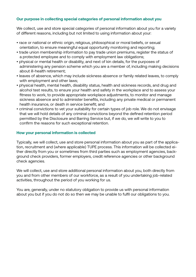# **Our purpose in collecting special categories of personal information about you**

We collect, use and store special categories of personal information about you for a variety of different reasons, including but not limited to using information about your:

- race or national or ethnic origin, religious, philosophical or moral beliefs, or sexual orientation, to ensure meaningful equal opportunity monitoring and reporting;
- trade union membership information to pay trade union premiums, register the status of a protected employee and to comply with employment law obligations;
- physical or mental health or disability, and next of kin details, for the purposes of administering any pension scheme which you are a member of, including making decisions about ill-health retirement;
- leaves of absence, which may include sickness absence or family related leaves, to comply with employment and other laws;
- physical health, mental health, disability status, health and sickness records, and drug and alcohol test results, to ensure your health and safety in the workplace and to assess your fitness to work, to provide appropriate workplace adjustments, to monitor and manage sickness absence and to administer benefits, including any private medical or permanent health insurance, or death in service benefit; and
- criminal convictions to vet your suitability for certain types of job role. We do not envisage that we will hold details of any criminal convictions beyond the defined retention period permitted by the Disclosure and Barring Service but, if we do, we will write to you to confirm the reasons for such exceptional retention.

#### **How your personal information is collected**

Typically, we will collect, use and store personal information about you as part of the application, recruitment and (where applicable) TUPE process. This information will be collected either directly from you or sometimes from third parties such as employment agencies, background check providers, former employers, credit reference agencies or other background check agencies.

We will collect, use and store additional personal information about you, both directly from you and from other members of our workforce, as a result of you undertaking job-related activities, throughout the period of you working for us.

You are, generally, under no statutory obligation to provide us with personal information about you but if you do not do so then we may be unable to fulfil our obligations to you.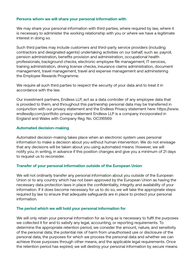#### **Persons whom we will share your personal information with**

We may share your personal information with third parties, where required by law, where it is necessary to administer the working relationship with you or where we have a legitimate interest in doing so.

Such third parties may include customers and third-party service providers (including contractors and designated agents) undertaking activities on our behalf, such as: payroll, pension administration, benefits provision and administration, occupational health professionals, background checks, electronic employee file management, IT services, training administration, driving license checks, insurance claims administration, document management, travel management, travel and expense management and administering the Employee Rewards Programme.

We require all such third parties to respect the security of your data and to treat it in accordance with the law.

Our investment partners, Endless LLP, act as a data controller of any employee data that is provided to them, and throughout this partnership personal data may be transferred in conjunction with our privacy statement and the Endless Privacy statement here: https://www. endlessllp.com/portfolio-privacy-statement Endless LLP is a company incorporated in England and Wales with Company Reg. No. OC316569.

#### **Automated decision-making**

Automated decision-making takes place when an electronic system uses personal information to make a decision about you without human intervention. We do not envisage that any decisions will be taken about you using automated means. However, we will notify you, in writing, in advance if this position changes and give you a minimum of 21 days to request us to reconsider.

# **Transfer of your personal information outside of the European Union**

We will not ordinarily transfer any personal information about you outside of the European Union or to any country which has not been approved by the European Union as having the necessary data protection laws in place the confidentiality, integrity and availability of your information. If it does become necessary for us to do so, we will take the appropriate steps required by law to ensure that adequate safeguards are in place to protect your personal information.

#### **The period which we will hold your personal information for**

We will only retain your personal information for as long as is necessary to fulfil the purposes we collected it for and to satisfy any legal, accounting, or reporting requirements. To determine the appropriate retention period, we consider the amount, nature, and sensitivity of the personal data, the potential risk of harm from unauthorised use or disclosure of the personal data, the purposes for which we process the personal data and whether we can achieve those purposes through other means, and the applicable legal requirements. Once the retention period has expired, we will destroy your personal information by secure means.